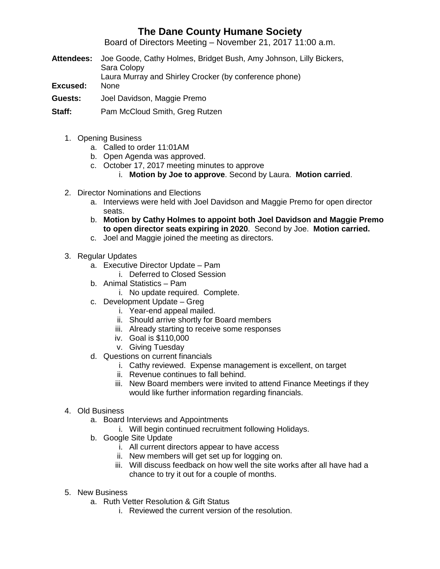## **The Dane County Humane Society**

Board of Directors Meeting – November 21, 2017 11:00 a.m.

**Attendees:** Joe Goode, Cathy Holmes, Bridget Bush, Amy Johnson, Lilly Bickers, Sara Colopy

Laura Murray and Shirley Crocker (by conference phone)

- **Excused:** None
- **Guests:** Joel Davidson, Maggie Premo

**Staff:** Pam McCloud Smith, Greg Rutzen

- 1. Opening Business
	- a. Called to order 11:01AM
	- b. Open Agenda was approved.
	- c. October 17, 2017 meeting minutes to approve
		- i. **Motion by Joe to approve**. Second by Laura. **Motion carried**.
- 2. Director Nominations and Elections
	- a. Interviews were held with Joel Davidson and Maggie Premo for open director seats.
	- b. **Motion by Cathy Holmes to appoint both Joel Davidson and Maggie Premo to open director seats expiring in 2020**. Second by Joe. **Motion carried.**
	- c. Joel and Maggie joined the meeting as directors.
- 3. Regular Updates
	- a. Executive Director Update Pam
		- i. Deferred to Closed Session
	- b. Animal Statistics Pam
		- i. No update required. Complete.
	- c. Development Update Greg
		- i. Year-end appeal mailed.
		- ii. Should arrive shortly for Board members
		- iii. Already starting to receive some responses
		- iv. Goal is \$110,000
		- v. Giving Tuesday
	- d. Questions on current financials
		- i. Cathy reviewed. Expense management is excellent, on target
		- ii. Revenue continues to fall behind.
		- iii. New Board members were invited to attend Finance Meetings if they would like further information regarding financials.

## 4. Old Business

- a. Board Interviews and Appointments
	- i. Will begin continued recruitment following Holidays.
- b. Google Site Update
	- i. All current directors appear to have access
	- ii. New members will get set up for logging on.
	- iii. Will discuss feedback on how well the site works after all have had a chance to try it out for a couple of months.
- 5. New Business
	- a. Ruth Vetter Resolution & Gift Status
		- i. Reviewed the current version of the resolution.